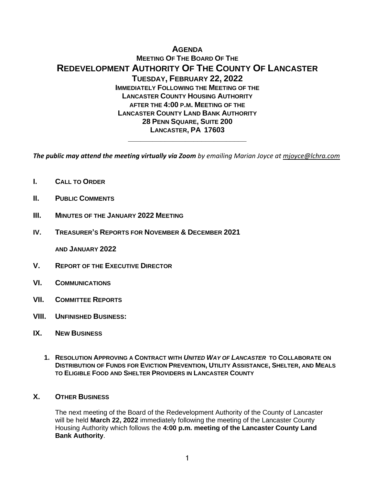# **AGENDA MEETING OF THE BOARD OF THE REDEVELOPMENT AUTHORITY OF THE COUNTY OF LANCASTER TUESDAY, FEBRUARY 22, 2022 IMMEDIATELY FOLLOWING THE MEETING OF THE LANCASTER COUNTY HOUSING AUTHORITY AFTER THE 4:00 P.M. MEETING OF THE LANCASTER COUNTY LAND BANK AUTHORITY 28 PENN SQUARE, SUITE 200 LANCASTER, PA 17603**

*The public may attend the meeting virtually via Zoom by emailing Marian Joyce at [mjoyce@lchra.com](mailto:mjoyce@lchra.com)* 

**\_\_\_\_\_\_\_\_\_\_\_\_\_\_\_\_\_\_\_\_\_\_\_\_\_\_\_\_\_**

- **I. CALL TO ORDER**
- **II. PUBLIC COMMENTS**
- **III. MINUTES OF THE JANUARY 2022 MEETING**
- **IV. TREASURER'S REPORTS FOR NOVEMBER & DECEMBER 2021**

**AND JANUARY 2022**

- **V. REPORT OF THE EXECUTIVE DIRECTOR**
- **VI. COMMUNICATIONS**
- **VII. COMMITTEE REPORTS**
- **VIII. UNFINISHED BUSINESS:**
- **IX. NEW BUSINESS**
	- **1. RESOLUTION APPROVING A CONTRACT WITH** *UNITED WAY OF LANCASTER* **TO COLLABORATE ON DISTRIBUTION OF FUNDS FOR EVICTION PREVENTION, UTILITY ASSISTANCE, SHELTER, AND MEALS TO ELIGIBLE FOOD AND SHELTER PROVIDERS IN LANCASTER COUNTY**

#### **X. OTHER BUSINESS**

The next meeting of the Board of the Redevelopment Authority of the County of Lancaster will be held **March 22, 2022** immediately following the meeting of the Lancaster County Housing Authority which follows the **4:00 p.m. meeting of the Lancaster County Land Bank Authority**.